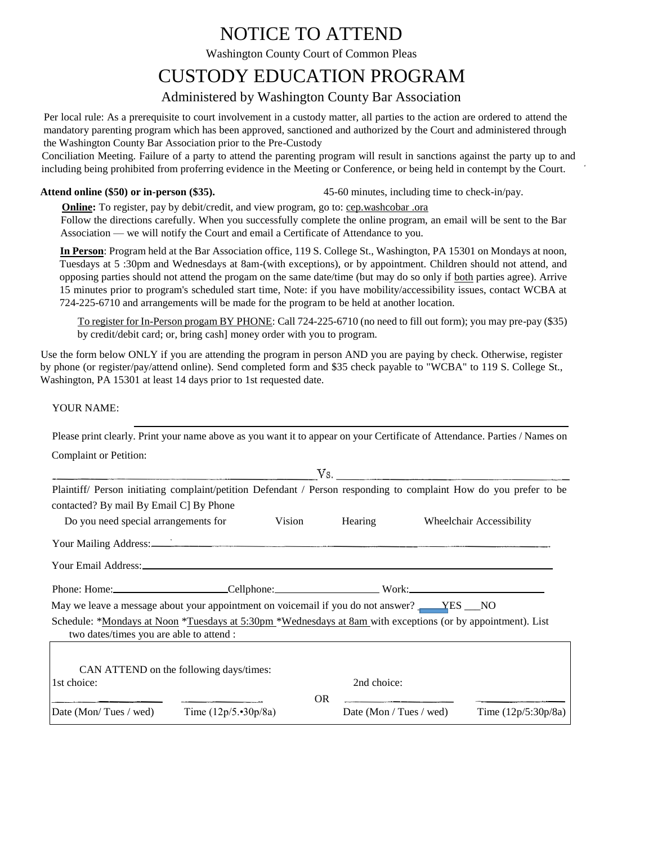## NOTICE TO ATTEND

Washington County Court of Common Pleas

## CUSTODY EDUCATION PROGRAM

### Administered by Washington County Bar Association

Per local rule: As a prerequisite to court involvement in a custody matter, all parties to the action are ordered to attend the mandatory parenting program which has been approved, sanctioned and authorized by the Court and administered through the Washington County Bar Association prior to the Pre-Custody

Conciliation Meeting. Failure of a party to attend the parenting program will result in sanctions against the party up to and including being prohibited from proferring evidence in the Meeting or Conference, or being held in contempt by the Court.

**Attend online (\$50) or in-person (\$35).** 45-60 minutes, including time to check-in/pay.

**Online:** To register, pay by debit/credit, and view program, go to: cep.washcobar .ora

Follow the directions carefully. When you successfully complete the online program, an email will be sent to the Bar Association — we will notify the Court and email a Certificate of Attendance to you.

**In Person**: Program held at the Bar Association office, 119 S. College St., Washington, PA 15301 on Mondays at noon, Tuesdays at 5 :30pm and Wednesdays at 8am-(with exceptions), or by appointment. Children should not attend, and opposing parties should not attend the progam on the same date/time (but may do so only if both parties agree). Arrive 15 minutes prior to program's scheduled start time, Note: if you have mobility/accessibility issues, contact WCBA at 724-225-6710 and arrangements will be made for the program to be held at another location.

To register for In-Person progam BY PHONE: Call 724-225-6710 (no need to fill out form); you may pre-pay (\$35) by credit/debit card; or, bring cash] money order with you to program.

Use the form below ONLY if you are attending the program in person AND you are paying by check. Otherwise, register by phone (or register/pay/attend online). Send completed form and \$35 check payable to "WCBA" to 119 S. College St., Washington, PA 15301 at least 14 days prior to 1st requested date.

YOUR NAME:

| Please print clearly. Print your name above as you want it to appear on your Certificate of Attendance. Parties / Names on                                                                                                           |           |             |                         |                          |
|--------------------------------------------------------------------------------------------------------------------------------------------------------------------------------------------------------------------------------------|-----------|-------------|-------------------------|--------------------------|
| Complaint or Petition:                                                                                                                                                                                                               |           |             |                         |                          |
|                                                                                                                                                                                                                                      |           |             |                         |                          |
| Plaintiff/ Person initiating complaint/petition Defendant / Person responding to complaint How do you prefer to be<br>contacted? By mail By Email C] By Phone                                                                        |           |             |                         |                          |
| Do you need special arrangements for                                                                                                                                                                                                 | Vision    | Hearing     |                         | Wheelchair Accessibility |
| Your Mailing Address: <u>Container and Secretary and Secretary and Secretary and Secretary and Secretary and Secretary and Secretary and Secretary and Secretary and Secretary and Secretary and Secretary and Secretary and Sec</u> |           |             |                         |                          |
|                                                                                                                                                                                                                                      |           |             |                         |                          |
|                                                                                                                                                                                                                                      |           |             |                         |                          |
| May we leave a message about your appointment on voicemail if you do not answer? _____YES ___NO                                                                                                                                      |           |             |                         |                          |
| Schedule: *Mondays at Noon *Tuesdays at 5:30pm *Wednesdays at 8am with exceptions (or by appointment). List<br>two dates/times you are able to attend :                                                                              |           |             |                         |                          |
| CAN ATTEND on the following days/times:                                                                                                                                                                                              |           |             |                         |                          |
| 1st choice:                                                                                                                                                                                                                          |           | 2nd choice: |                         |                          |
| Date (Mon/Tues / wed) Time $(12p/5.30p/8a)$                                                                                                                                                                                          | <b>OR</b> |             | Date (Mon / Tues / wed) | Time $(12p/5:30p/8a)$    |